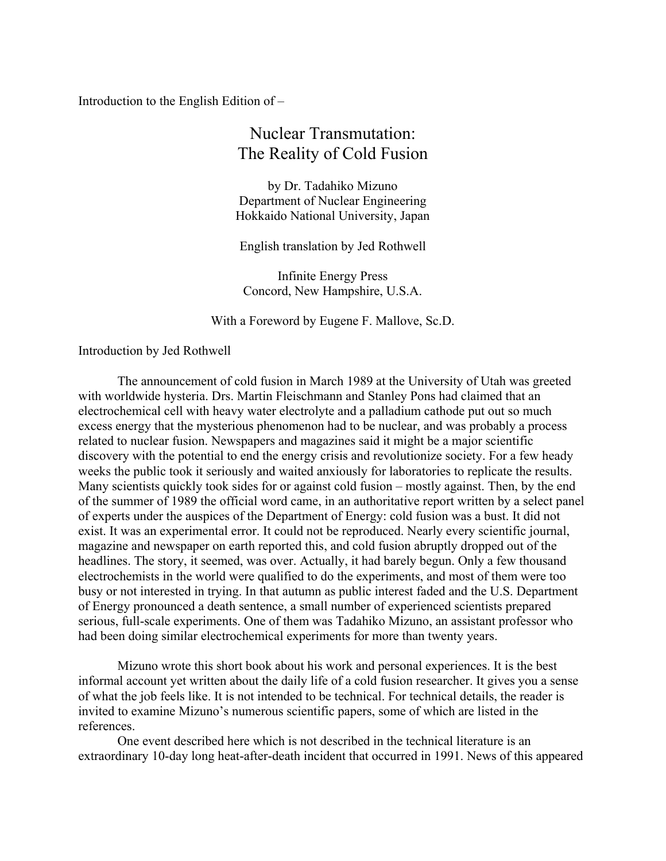Introduction to the English Edition of –

## Nuclear Transmutation: The Reality of Cold Fusion

by Dr. Tadahiko Mizuno Department of Nuclear Engineering Hokkaido National University, Japan

English translation by Jed Rothwell

Infinite Energy Press Concord, New Hampshire, U.S.A.

With a Foreword by Eugene F. Mallove, Sc.D.

## Introduction by Jed Rothwell

 The announcement of cold fusion in March 1989 at the University of Utah was greeted with worldwide hysteria. Drs. Martin Fleischmann and Stanley Pons had claimed that an electrochemical cell with heavy water electrolyte and a palladium cathode put out so much excess energy that the mysterious phenomenon had to be nuclear, and was probably a process related to nuclear fusion. Newspapers and magazines said it might be a major scientific discovery with the potential to end the energy crisis and revolutionize society. For a few heady weeks the public took it seriously and waited anxiously for laboratories to replicate the results. Many scientists quickly took sides for or against cold fusion – mostly against. Then, by the end of the summer of 1989 the official word came, in an authoritative report written by a select panel of experts under the auspices of the Department of Energy: cold fusion was a bust. It did not exist. It was an experimental error. It could not be reproduced. Nearly every scientific journal, magazine and newspaper on earth reported this, and cold fusion abruptly dropped out of the headlines. The story, it seemed, was over. Actually, it had barely begun. Only a few thousand electrochemists in the world were qualified to do the experiments, and most of them were too busy or not interested in trying. In that autumn as public interest faded and the U.S. Department of Energy pronounced a death sentence, a small number of experienced scientists prepared serious, full-scale experiments. One of them was Tadahiko Mizuno, an assistant professor who had been doing similar electrochemical experiments for more than twenty years.

Mizuno wrote this short book about his work and personal experiences. It is the best informal account yet written about the daily life of a cold fusion researcher. It gives you a sense of what the job feels like. It is not intended to be technical. For technical details, the reader is invited to examine Mizuno's numerous scientific papers, some of which are listed in the references.

 One event described here which is not described in the technical literature is an extraordinary 10-day long heat-after-death incident that occurred in 1991. News of this appeared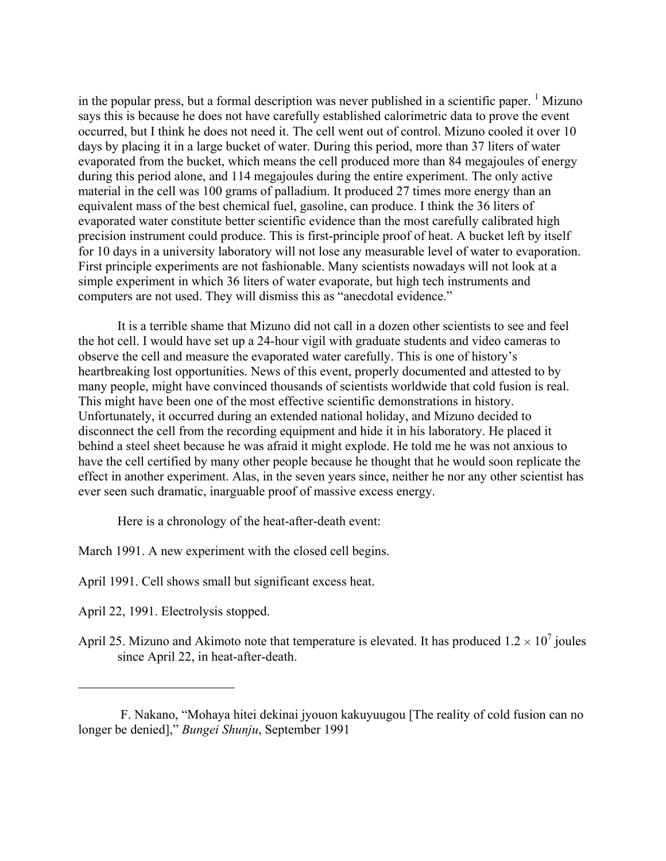in the popular press, but a formal description was never published in a scientific paper.  $\frac{1}{1}$  $\frac{1}{1}$  $\frac{1}{1}$  Mizuno says this is because he does not have carefully established calorimetric data to prove the event occurred, but I think he does not need it. The cell went out of control. Mizuno cooled it over 10 days by placing it in a large bucket of water. During this period, more than 37 liters of water evaporated from the bucket, which means the cell produced more than 84 megajoules of energy during this period alone, and 114 megajoules during the entire experiment. The only active material in the cell was 100 grams of palladium. It produced 27 times more energy than an equivalent mass of the best chemical fuel, gasoline, can produce. I think the 36 liters of evaporated water constitute better scientific evidence than the most carefully calibrated high precision instrument could produce. This is first-principle proof of heat. A bucket left by itself for 10 days in a university laboratory will not lose any measurable level of water to evaporation. First principle experiments are not fashionable. Many scientists nowadays will not look at a simple experiment in which 36 liters of water evaporate, but high tech instruments and computers are not used. They will dismiss this as "anecdotal evidence."

It is a terrible shame that Mizuno did not call in a dozen other scientists to see and feel the hot cell. I would have set up a 24-hour vigil with graduate students and video cameras to observe the cell and measure the evaporated water carefully. This is one of history's heartbreaking lost opportunities. News of this event, properly documented and attested to by many people, might have convinced thousands of scientists worldwide that cold fusion is real. This might have been one of the most effective scientific demonstrations in history. Unfortunately, it occurred during an extended national holiday, and Mizuno decided to disconnect the cell from the recording equipment and hide it in his laboratory. He placed it behind a steel sheet because he was afraid it might explode. He told me he was not anxious to have the cell certified by many other people because he thought that he would soon replicate the effect in another experiment. Alas, in the seven years since, neither he nor any other scientist has ever seen such dramatic, inarguable proof of massive excess energy.

Here is a chronology of the heat-after-death event:

March 1991. A new experiment with the closed cell begins.

April 1991. Cell shows small but significant excess heat.

April 22, 1991. Electrolysis stopped.

 $\overline{a}$ 

April 25. Mizuno and Akimoto note that temperature is elevated. It has produced  $1.2 \times 10^7$  joules since April 22, in heat-after-death.

<span id="page-1-0"></span>F. Nakano, "Mohaya hitei dekinai jyouon kakuyuugou [The reality of cold fusion can no longer be denied]," *Bungei Shunju*, September 1991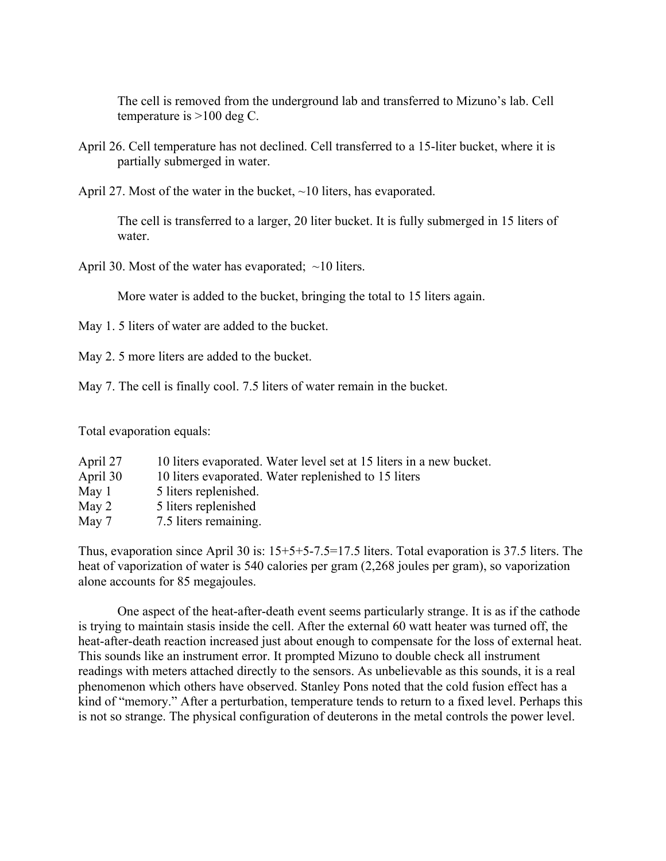The cell is removed from the underground lab and transferred to Mizuno's lab. Cell temperature is >100 deg C.

- April 26. Cell temperature has not declined. Cell transferred to a 15-liter bucket, where it is partially submerged in water.
- April 27. Most of the water in the bucket, ~10 liters, has evaporated.

The cell is transferred to a larger, 20 liter bucket. It is fully submerged in 15 liters of water

April 30. Most of the water has evaporated;  $\sim$ 10 liters.

More water is added to the bucket, bringing the total to 15 liters again.

- May 1.5 liters of water are added to the bucket.
- May 2. 5 more liters are added to the bucket.

May 7. The cell is finally cool. 7.5 liters of water remain in the bucket.

Total evaporation equals:

| 10 liters evaporated. Water level set at 15 liters in a new bucket. |
|---------------------------------------------------------------------|
| 10 liters evaporated. Water replenished to 15 liters                |
| 5 liters replenished.                                               |
| 5 liters replenished                                                |
| 7.5 liters remaining.                                               |
|                                                                     |

Thus, evaporation since April 30 is: 15+5+5-7.5=17.5 liters. Total evaporation is 37.5 liters. The heat of vaporization of water is 540 calories per gram (2,268 joules per gram), so vaporization alone accounts for 85 megajoules.

One aspect of the heat-after-death event seems particularly strange. It is as if the cathode is trying to maintain stasis inside the cell. After the external 60 watt heater was turned off, the heat-after-death reaction increased just about enough to compensate for the loss of external heat. This sounds like an instrument error. It prompted Mizuno to double check all instrument readings with meters attached directly to the sensors. As unbelievable as this sounds, it is a real phenomenon which others have observed. Stanley Pons noted that the cold fusion effect has a kind of "memory." After a perturbation, temperature tends to return to a fixed level. Perhaps this is not so strange. The physical configuration of deuterons in the metal controls the power level.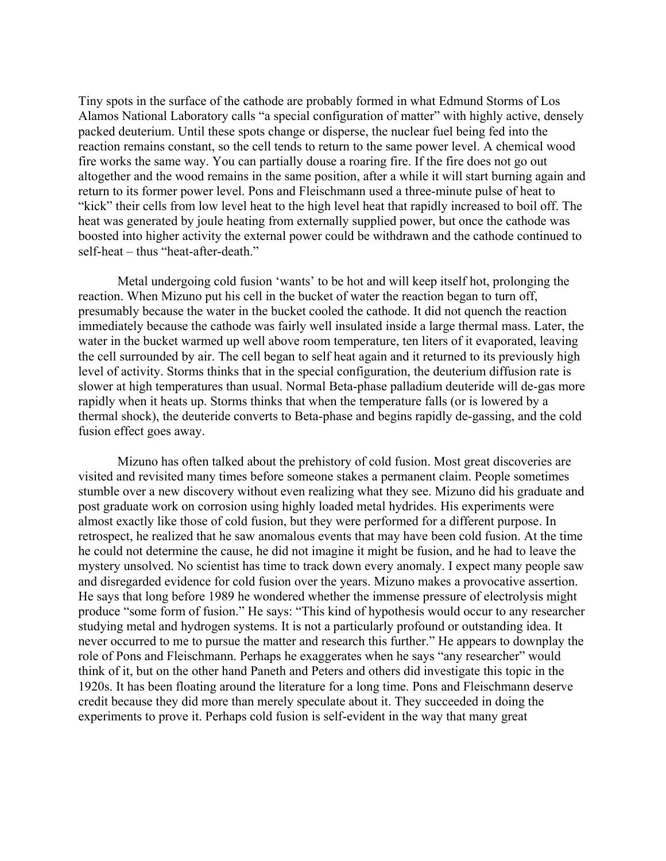Tiny spots in the surface of the cathode are probably formed in what Edmund Storms of Los Alamos National Laboratory calls "a special configuration of matter" with highly active, densely packed deuterium. Until these spots change or disperse, the nuclear fuel being fed into the reaction remains constant, so the cell tends to return to the same power level. A chemical wood fire works the same way. You can partially douse a roaring fire. If the fire does not go out altogether and the wood remains in the same position, after a while it will start burning again and return to its former power level. Pons and Fleischmann used a three-minute pulse of heat to "kick" their cells from low level heat to the high level heat that rapidly increased to boil off. The heat was generated by joule heating from externally supplied power, but once the cathode was boosted into higher activity the external power could be withdrawn and the cathode continued to self-heat – thus "heat-after-death."

 Metal undergoing cold fusion 'wants' to be hot and will keep itself hot, prolonging the reaction. When Mizuno put his cell in the bucket of water the reaction began to turn off, presumably because the water in the bucket cooled the cathode. It did not quench the reaction immediately because the cathode was fairly well insulated inside a large thermal mass. Later, the water in the bucket warmed up well above room temperature, ten liters of it evaporated, leaving the cell surrounded by air. The cell began to self heat again and it returned to its previously high level of activity. Storms thinks that in the special configuration, the deuterium diffusion rate is slower at high temperatures than usual. Normal Beta-phase palladium deuteride will de-gas more rapidly when it heats up. Storms thinks that when the temperature falls (or is lowered by a thermal shock), the deuteride converts to Beta-phase and begins rapidly de-gassing, and the cold fusion effect goes away.

Mizuno has often talked about the prehistory of cold fusion. Most great discoveries are visited and revisited many times before someone stakes a permanent claim. People sometimes stumble over a new discovery without even realizing what they see. Mizuno did his graduate and post graduate work on corrosion using highly loaded metal hydrides. His experiments were almost exactly like those of cold fusion, but they were performed for a different purpose. In retrospect, he realized that he saw anomalous events that may have been cold fusion. At the time he could not determine the cause, he did not imagine it might be fusion, and he had to leave the mystery unsolved. No scientist has time to track down every anomaly. I expect many people saw and disregarded evidence for cold fusion over the years. Mizuno makes a provocative assertion. He says that long before 1989 he wondered whether the immense pressure of electrolysis might produce "some form of fusion." He says: "This kind of hypothesis would occur to any researcher studying metal and hydrogen systems. It is not a particularly profound or outstanding idea. It never occurred to me to pursue the matter and research this further." He appears to downplay the role of Pons and Fleischmann. Perhaps he exaggerates when he says "any researcher" would think of it, but on the other hand Paneth and Peters and others did investigate this topic in the 1920s. It has been floating around the literature for a long time. Pons and Fleischmann deserve credit because they did more than merely speculate about it. They succeeded in doing the experiments to prove it. Perhaps cold fusion is self-evident in the way that many great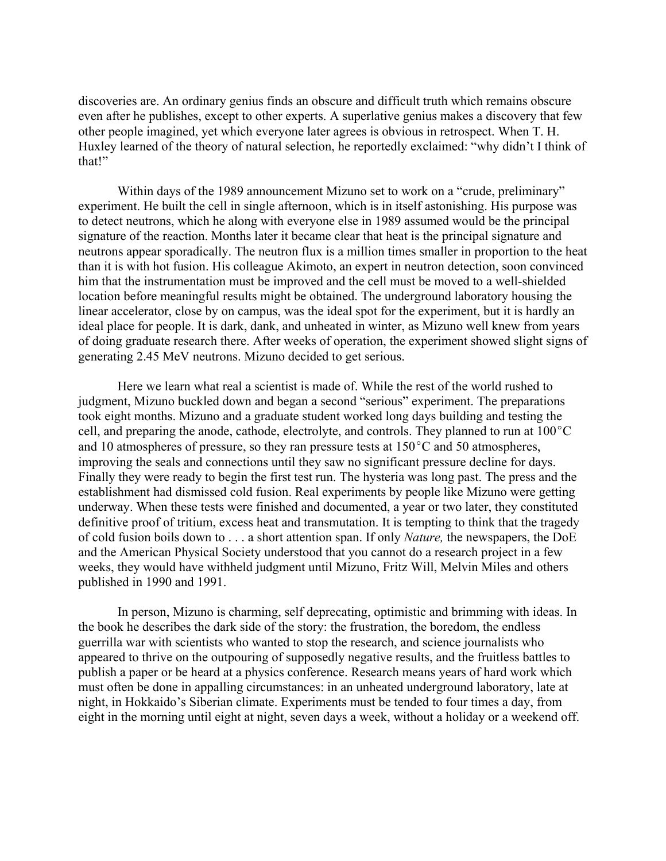discoveries are. An ordinary genius finds an obscure and difficult truth which remains obscure even after he publishes, except to other experts. A superlative genius makes a discovery that few other people imagined, yet which everyone later agrees is obvious in retrospect. When T. H. Huxley learned of the theory of natural selection, he reportedly exclaimed: "why didn't I think of that!"

 Within days of the 1989 announcement Mizuno set to work on a "crude, preliminary" experiment. He built the cell in single afternoon, which is in itself astonishing. His purpose was to detect neutrons, which he along with everyone else in 1989 assumed would be the principal signature of the reaction. Months later it became clear that heat is the principal signature and neutrons appear sporadically. The neutron flux is a million times smaller in proportion to the heat than it is with hot fusion. His colleague Akimoto, an expert in neutron detection, soon convinced him that the instrumentation must be improved and the cell must be moved to a well-shielded location before meaningful results might be obtained. The underground laboratory housing the linear accelerator, close by on campus, was the ideal spot for the experiment, but it is hardly an ideal place for people. It is dark, dank, and unheated in winter, as Mizuno well knew from years of doing graduate research there. After weeks of operation, the experiment showed slight signs of generating 2.45 MeV neutrons. Mizuno decided to get serious.

 Here we learn what real a scientist is made of. While the rest of the world rushed to judgment, Mizuno buckled down and began a second "serious" experiment. The preparations took eight months. Mizuno and a graduate student worked long days building and testing the cell, and preparing the anode, cathode, electrolyte, and controls. They planned to run at  $100^{\circ}$ C and 10 atmospheres of pressure, so they ran pressure tests at  $150^{\circ}$ C and 50 atmospheres, improving the seals and connections until they saw no significant pressure decline for days. Finally they were ready to begin the first test run. The hysteria was long past. The press and the establishment had dismissed cold fusion. Real experiments by people like Mizuno were getting underway. When these tests were finished and documented, a year or two later, they constituted definitive proof of tritium, excess heat and transmutation. It is tempting to think that the tragedy of cold fusion boils down to . . . a short attention span. If only *Nature,* the newspapers, the DoE and the American Physical Society understood that you cannot do a research project in a few weeks, they would have withheld judgment until Mizuno, Fritz Will, Melvin Miles and others published in 1990 and 1991.

In person, Mizuno is charming, self deprecating, optimistic and brimming with ideas. In the book he describes the dark side of the story: the frustration, the boredom, the endless guerrilla war with scientists who wanted to stop the research, and science journalists who appeared to thrive on the outpouring of supposedly negative results, and the fruitless battles to publish a paper or be heard at a physics conference. Research means years of hard work which must often be done in appalling circumstances: in an unheated underground laboratory, late at night, in Hokkaido's Siberian climate. Experiments must be tended to four times a day, from eight in the morning until eight at night, seven days a week, without a holiday or a weekend off.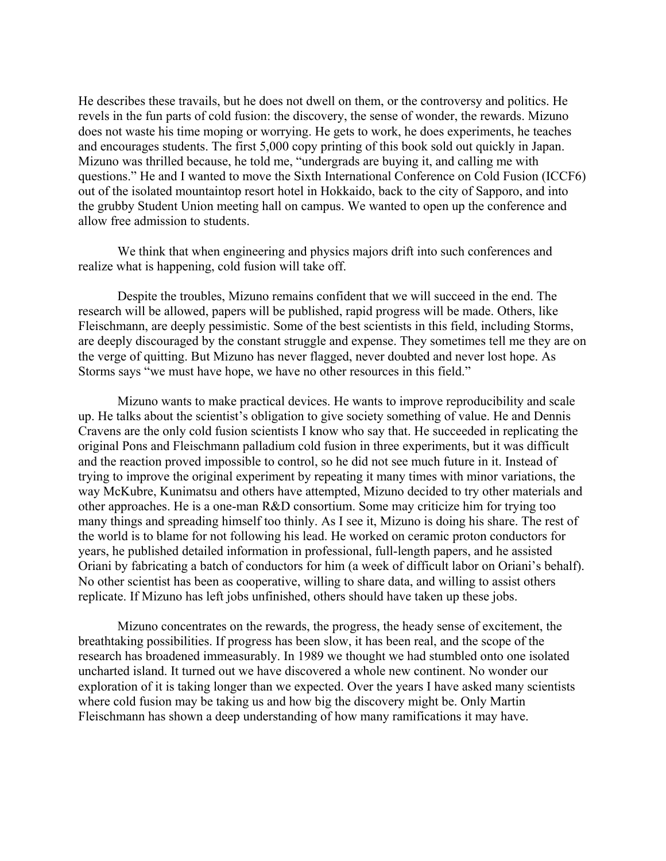He describes these travails, but he does not dwell on them, or the controversy and politics. He revels in the fun parts of cold fusion: the discovery, the sense of wonder, the rewards. Mizuno does not waste his time moping or worrying. He gets to work, he does experiments, he teaches and encourages students. The first 5,000 copy printing of this book sold out quickly in Japan. Mizuno was thrilled because, he told me, "undergrads are buying it, and calling me with questions." He and I wanted to move the Sixth International Conference on Cold Fusion (ICCF6) out of the isolated mountaintop resort hotel in Hokkaido, back to the city of Sapporo, and into the grubby Student Union meeting hall on campus. We wanted to open up the conference and allow free admission to students.

We think that when engineering and physics majors drift into such conferences and realize what is happening, cold fusion will take off.

Despite the troubles, Mizuno remains confident that we will succeed in the end. The research will be allowed, papers will be published, rapid progress will be made. Others, like Fleischmann, are deeply pessimistic. Some of the best scientists in this field, including Storms, are deeply discouraged by the constant struggle and expense. They sometimes tell me they are on the verge of quitting. But Mizuno has never flagged, never doubted and never lost hope. As Storms says "we must have hope, we have no other resources in this field."

 Mizuno wants to make practical devices. He wants to improve reproducibility and scale up. He talks about the scientist's obligation to give society something of value. He and Dennis Cravens are the only cold fusion scientists I know who say that. He succeeded in replicating the original Pons and Fleischmann palladium cold fusion in three experiments, but it was difficult and the reaction proved impossible to control, so he did not see much future in it. Instead of trying to improve the original experiment by repeating it many times with minor variations, the way McKubre, Kunimatsu and others have attempted, Mizuno decided to try other materials and other approaches. He is a one-man R&D consortium. Some may criticize him for trying too many things and spreading himself too thinly. As I see it, Mizuno is doing his share. The rest of the world is to blame for not following his lead. He worked on ceramic proton conductors for years, he published detailed information in professional, full-length papers, and he assisted Oriani by fabricating a batch of conductors for him (a week of difficult labor on Oriani's behalf). No other scientist has been as cooperative, willing to share data, and willing to assist others replicate. If Mizuno has left jobs unfinished, others should have taken up these jobs.

Mizuno concentrates on the rewards, the progress, the heady sense of excitement, the breathtaking possibilities. If progress has been slow, it has been real, and the scope of the research has broadened immeasurably. In 1989 we thought we had stumbled onto one isolated uncharted island. It turned out we have discovered a whole new continent. No wonder our exploration of it is taking longer than we expected. Over the years I have asked many scientists where cold fusion may be taking us and how big the discovery might be. Only Martin Fleischmann has shown a deep understanding of how many ramifications it may have.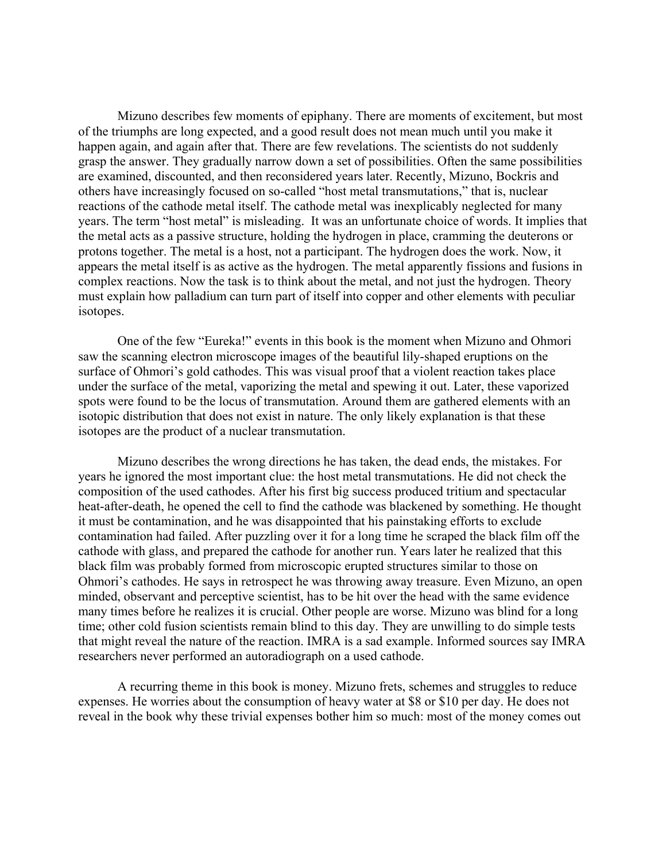Mizuno describes few moments of epiphany. There are moments of excitement, but most of the triumphs are long expected, and a good result does not mean much until you make it happen again, and again after that. There are few revelations. The scientists do not suddenly grasp the answer. They gradually narrow down a set of possibilities. Often the same possibilities are examined, discounted, and then reconsidered years later. Recently, Mizuno, Bockris and others have increasingly focused on so-called "host metal transmutations," that is, nuclear reactions of the cathode metal itself. The cathode metal was inexplicably neglected for many years. The term "host metal" is misleading. It was an unfortunate choice of words. It implies that the metal acts as a passive structure, holding the hydrogen in place, cramming the deuterons or protons together. The metal is a host, not a participant. The hydrogen does the work. Now, it appears the metal itself is as active as the hydrogen. The metal apparently fissions and fusions in complex reactions. Now the task is to think about the metal, and not just the hydrogen. Theory must explain how palladium can turn part of itself into copper and other elements with peculiar isotopes.

One of the few "Eureka!" events in this book is the moment when Mizuno and Ohmori saw the scanning electron microscope images of the beautiful lily-shaped eruptions on the surface of Ohmori's gold cathodes. This was visual proof that a violent reaction takes place under the surface of the metal, vaporizing the metal and spewing it out. Later, these vaporized spots were found to be the locus of transmutation. Around them are gathered elements with an isotopic distribution that does not exist in nature. The only likely explanation is that these isotopes are the product of a nuclear transmutation.

Mizuno describes the wrong directions he has taken, the dead ends, the mistakes. For years he ignored the most important clue: the host metal transmutations. He did not check the composition of the used cathodes. After his first big success produced tritium and spectacular heat-after-death, he opened the cell to find the cathode was blackened by something. He thought it must be contamination, and he was disappointed that his painstaking efforts to exclude contamination had failed. After puzzling over it for a long time he scraped the black film off the cathode with glass, and prepared the cathode for another run. Years later he realized that this black film was probably formed from microscopic erupted structures similar to those on Ohmori's cathodes. He says in retrospect he was throwing away treasure. Even Mizuno, an open minded, observant and perceptive scientist, has to be hit over the head with the same evidence many times before he realizes it is crucial. Other people are worse. Mizuno was blind for a long time; other cold fusion scientists remain blind to this day. They are unwilling to do simple tests that might reveal the nature of the reaction. IMRA is a sad example. Informed sources say IMRA researchers never performed an autoradiograph on a used cathode.

A recurring theme in this book is money. Mizuno frets, schemes and struggles to reduce expenses. He worries about the consumption of heavy water at \$8 or \$10 per day. He does not reveal in the book why these trivial expenses bother him so much: most of the money comes out